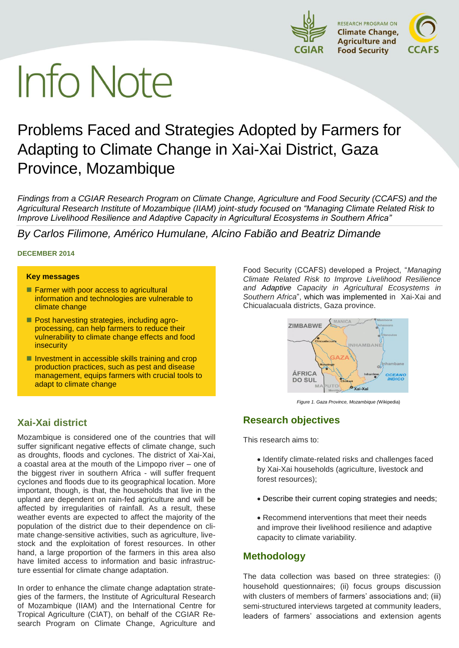

# **Info Note**

# Problems Faced and Strategies Adopted by Farmers for Adapting to Climate Change in Xai-Xai District, Gaza Province, Mozambique

*Findings from a CGIAR Research Program on Climate Change, Agriculture and Food Security (CCAFS) and the Agricultural Research Institute of Mozambique (IIAM) joint-study focused on "Managing Climate Related Risk to Improve Livelihood Resilience and Adaptive Capacity in Agricultural Ecosystems in Southern Africa"*

*By Carlos Filimone, Américo Humulane, Alcino Fabião and Beatriz Dimande*

#### **DECEMBER 2014**

#### **Key messages**

- **Farmer with poor access to agricultural** information and technologies are vulnerable to climate change
- **Post harvesting strategies, including agro**processing, can help farmers to reduce their vulnerability to climate change effects and food insecurity
- $\blacksquare$  Investment in accessible skills training and crop production practices, such as pest and disease management, equips farmers with crucial tools to adapt to climate change

# **Xai-Xai district**

Mozambique is considered one of the countries that will suffer significant negative effects of climate change, such as droughts, floods and cyclones. The district of Xai-Xai, a coastal area at the mouth of the Limpopo river – one of the biggest river in southern Africa - will suffer frequent cyclones and floods due to its geographical location. More important, though, is that, the households that live in the upland are dependent on rain-fed agriculture and will be affected by irregularities of rainfall. As a result, these weather events are expected to affect the majority of the population of the district due to their dependence on climate change-sensitive activities, such as agriculture, livestock and the exploitation of forest resources. In other hand, a large proportion of the farmers in this area also have limited access to information and basic infrastructure essential for climate change adaptation.

In order to enhance the climate change adaptation strategies of the farmers, the Institute of Agricultural Research of Mozambique (IIAM) and the International Centre for Tropical Agriculture (CIAT), on behalf of the CGIAR Research Program on Climate Change, Agriculture and Food Security (CCAFS) developed a Project, "*Managing Climate Related Risk to Improve Livelihood Resilience and Adaptive Capacity in Agricultural Ecosystems in Southern Africa*", which was implemented in Xai-Xai and Chicualacuala districts, Gaza province.



*Figure 1. Gaza Province, Mozambique (*Wikipedia)

# **Research objectives**

This research aims to:

• Identify climate-related risks and challenges faced by Xai-Xai households (agriculture, livestock and forest resources);

- Describe their current coping strategies and needs;
- Recommend interventions that meet their needs and improve their livelihood resilience and adaptive capacity to climate variability.

# **Methodology**

The data collection was based on three strategies: (i) household questionnaires; (ii) focus groups discussion with clusters of members of farmers' associations and; (iii) semi-structured interviews targeted at community leaders, leaders of farmers' associations and extension agents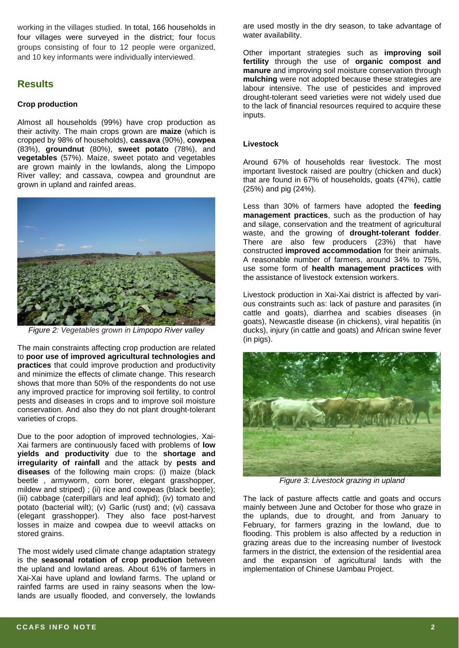working in the villages studied. In total, 166 households in four villages were surveyed in the district; four focus groups consisting of four to 12 people were organized, and 10 key informants were individually interviewed.

# **Results**

#### **Crop production**

Almost all households (99%) have crop production as their activity. The main crops grown are **maize** (which is cropped by 98% of households), **cassava** (90%), **cowpea**  (83%), **groundnut** (80%), **sweet potato** (78%), and **vegetables** (57%). Maize, sweet potato and vegetables are grown mainly in the lowlands, along the Limpopo River valley; and cassava, cowpea and groundnut are grown in upland and rainfed areas.



*Figure 2: Vegetables grown in Limpopo River valley*

The main constraints affecting crop production are related to **poor use of improved agricultural technologies and practices** that could improve production and productivity and minimize the effects of climate change. This research shows that more than 50% of the respondents do not use any improved practice for improving soil fertility, to control pests and diseases in crops and to improve soil moisture conservation. And also they do not plant drought-tolerant varieties of crops.

Due to the poor adoption of improved technologies, Xai-Xai farmers are continuously faced with problems of **low yields and productivity** due to the **shortage and irregularity of rainfall** and the attack by **pests and diseases** of the following main crops: (i) maize (black beetle , armyworm, corn borer, elegant grasshopper, mildew and striped) ; (ii) rice and cowpeas (black beetle); (iii) cabbage (caterpillars and leaf aphid); (iv) tomato and potato (bacterial wilt); (v) Garlic (rust) and; (vi) cassava (elegant grasshopper). They also face post-harvest losses in maize and cowpea due to weevil attacks on stored grains.

The most widely used climate change adaptation strategy is the **seasonal rotation of crop production** between the upland and lowland areas. About 61% of farmers in Xai-Xai have upland and lowland farms. The upland or rainfed farms are used in rainy seasons when the lowlands are usually flooded, and conversely, the lowlands

are used mostly in the dry season, to take advantage of water availability.

Other important strategies such as **improving soil fertility** through the use of **organic compost and manure** and improving soil moisture conservation through **mulching** were not adopted because these strategies are labour intensive. The use of pesticides and improved drought-tolerant seed varieties were not widely used due to the lack of financial resources required to acquire these inputs.

#### **Livestock**

Around 67% of households rear livestock. The most important livestock raised are poultry (chicken and duck) that are found in 67% of households, goats (47%), cattle (25%) and pig (24%).

Less than 30% of farmers have adopted the **feeding management practices**, such as the production of hay and silage, conservation and the treatment of agricultural waste, and the growing of **drought-tolerant fodder**. There are also few producers (23%) that have constructed **improved accommodation** for their animals. A reasonable number of farmers, around 34% to 75%, use some form of **health management practices** with the assistance of livestock extension workers.

Livestock production in Xai-Xai district is affected by various constraints such as: lack of pasture and parasites (in cattle and goats), diarrhea and scabies diseases (in goats), Newcastle disease (in chickens), viral hepatitis (in ducks), injury (in cattle and goats) and African swine fever (in pigs).



*Figure 3: Livestock grazing in upland*

The lack of pasture affects cattle and goats and occurs mainly between June and October for those who graze in the uplands, due to drought, and from January to February, for farmers grazing in the lowland, due to flooding. This problem is also affected by a reduction in grazing areas due to the increasing number of livestock farmers in the district, the extension of the residential area and the expansion of agricultural lands with the implementation of Chinese Uambau Project.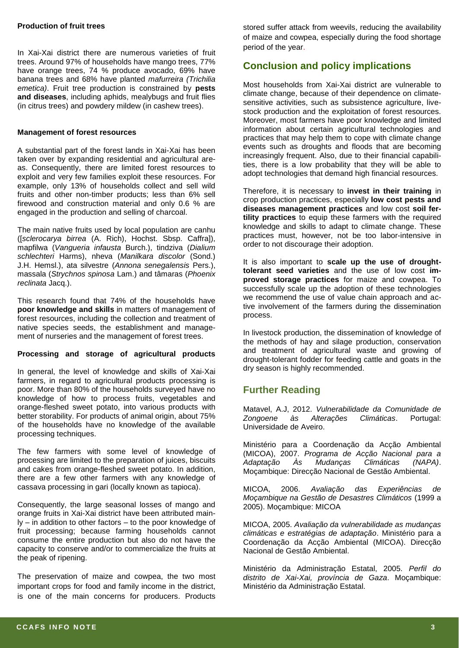#### **Production of fruit trees**

In Xai-Xai district there are numerous varieties of fruit trees. Around 97% of households have mango trees, 77% have orange trees, 74 % produce avocado, 69% have banana trees and 68% have planted *mafurreira (Trichilia emetica)*. Fruit tree production is constrained by **pests and diseases**, including aphids, mealybugs and fruit flies (in citrus trees) and powdery mildew (in cashew trees).

#### **Management of forest resources**

A substantial part of the forest lands in Xai-Xai has been taken over by expanding residential and agricultural areas. Consequently, there are limited forest resources to exploit and very few families exploit these resources. For example, only 13% of households collect and sell wild fruits and other non-timber products; less than 6% sell firewood and construction material and only 0.6 % are engaged in the production and selling of charcoal.

The main native fruits used by local population are canhu ([*sclerocarya birrea* (A. Rich), Hochst. Sbsp. Caffra]), mapfilwa (*Vangueria infausta* Burch.), tindziva (*Dialium schlechteri* Harms), nheva (*Manilkara discolor* (Sond.) J.H. Hemsl.), ata silvestre (*Annona senegalensis* Pers.), massala (*Strychnos spinosa* Lam.) and tâmaras (*Phoenix reclinata* Jacq.).

This research found that 74% of the households have **poor knowledge and skills** in matters of management of forest resources, including the collection and treatment of native species seeds, the establishment and management of nurseries and the management of forest trees.

#### **Processing and storage of agricultural products**

In general, the level of knowledge and skills of Xai-Xai farmers, in regard to agricultural products processing is poor. More than 80% of the households surveyed have no knowledge of how to process fruits, vegetables and orange-fleshed sweet potato, into various products with better storability. For products of animal origin, about 75% of the households have no knowledge of the available processing techniques.

The few farmers with some level of knowledge of processing are limited to the preparation of juices, biscuits and cakes from orange-fleshed sweet potato. In addition, there are a few other farmers with any knowledge of cassava processing in gari (locally known as tapioca).

Consequently, the large seasonal losses of mango and orange fruits in Xai-Xai district have been attributed mainly – in addition to other factors – to the poor knowledge of fruit processing; because farming households cannot consume the entire production but also do not have the capacity to conserve and/or to commercialize the fruits at the peak of ripening.

The preservation of maize and cowpea, the two most important crops for food and family income in the district, is one of the main concerns for producers. Products

stored suffer attack from weevils, reducing the availability of maize and cowpea, especially during the food shortage period of the year.

## **Conclusion and policy implications**

Most households from Xai-Xai district are vulnerable to climate change, because of their dependence on climatesensitive activities, such as subsistence agriculture, livestock production and the exploitation of forest resources. Moreover, most farmers have poor knowledge and limited information about certain agricultural technologies and practices that may help them to cope with climate change events such as droughts and floods that are becoming increasingly frequent. Also, due to their financial capabilities, there is a low probability that they will be able to adopt technologies that demand high financial resources.

Therefore, it is necessary to **invest in their training** in crop production practices, especially **low cost pests and diseases management practices** and low cost **soil fertility practices** to equip these farmers with the required knowledge and skills to adapt to climate change. These practices must, however, not be too labor-intensive in order to not discourage their adoption.

It is also important to **scale up the use of droughttolerant seed varieties** and the use of low cost **improved storage practices** for maize and cowpea. To successfully scale up the adoption of these technologies we recommend the use of value chain approach and active involvement of the farmers during the dissemination process.

In livestock production, the dissemination of knowledge of the methods of hay and silage production, conservation and treatment of agricultural waste and growing of drought-tolerant fodder for feeding cattle and goats in the dry season is highly recommended.

## **Further Reading**

Matavel, A.J, 2012. *Vulnerabilidade da Comunidade de Zongoene às Alterações Climáticas*. Portugal: Universidade de Aveiro.

Ministério para a Coordenação da Acção Ambiental (MICOA), 2007. *Programa de Acção Nacional para a Adaptação Às Mudanças Climáticas (NAPA)*. Moçambique: Direcção Nacional de Gestão Ambiental.

MICOA, 2006. *Avaliação das Experiências de Moçambique na Gestão de Desastres Climáticos* (1999 a 2005). Moçambique: MICOA

MICOA, 2005. *Avaliação da vulnerabilidade as mudanças climáticas e estratégias de adaptação*. Ministério para a Coordenação da Acção Ambiental (MICOA). Direcção Nacional de Gestão Ambiental.

Ministério da Administração Estatal, 2005. *Perfil do distrito de Xai-Xai, província de Gaza*. Moçambique: Ministério da Administração Estatal.